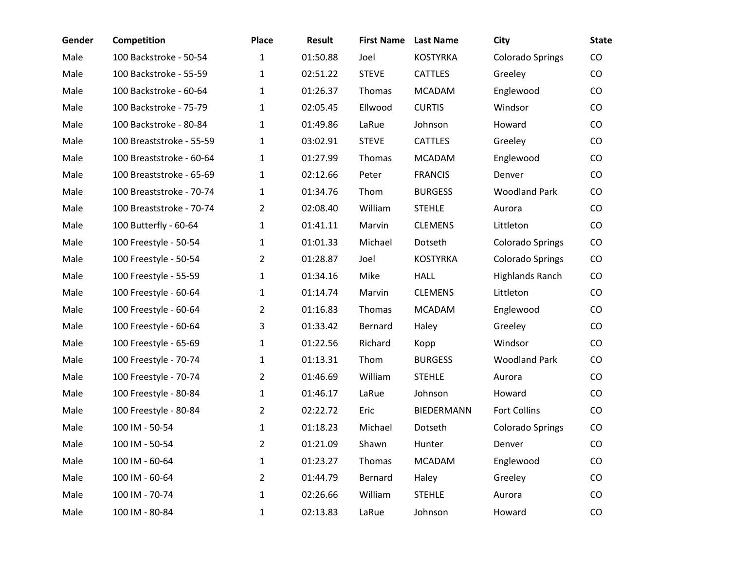| Gender | Competition              | <b>Place</b>   | <b>Result</b> | <b>First Name</b> | <b>Last Name</b>  | City                    | <b>State</b>  |
|--------|--------------------------|----------------|---------------|-------------------|-------------------|-------------------------|---------------|
| Male   | 100 Backstroke - 50-54   | 1              | 01:50.88      | Joel              | <b>KOSTYRKA</b>   | <b>Colorado Springs</b> | CO            |
| Male   | 100 Backstroke - 55-59   | 1              | 02:51.22      | <b>STEVE</b>      | <b>CATTLES</b>    | Greeley                 | CO            |
| Male   | 100 Backstroke - 60-64   | 1              | 01:26.37      | Thomas            | <b>MCADAM</b>     | Englewood               | CO            |
| Male   | 100 Backstroke - 75-79   | 1              | 02:05.45      | Ellwood           | <b>CURTIS</b>     | Windsor                 | $\rm CO$      |
| Male   | 100 Backstroke - 80-84   | 1              | 01:49.86      | LaRue             | Johnson           | Howard                  | $\rm CO$      |
| Male   | 100 Breaststroke - 55-59 | 1              | 03:02.91      | <b>STEVE</b>      | <b>CATTLES</b>    | Greeley                 | CO            |
| Male   | 100 Breaststroke - 60-64 | $\mathbf{1}$   | 01:27.99      | Thomas            | <b>MCADAM</b>     | Englewood               | CO            |
| Male   | 100 Breaststroke - 65-69 | 1              | 02:12.66      | Peter             | <b>FRANCIS</b>    | Denver                  | CO            |
| Male   | 100 Breaststroke - 70-74 | $\mathbf{1}$   | 01:34.76      | Thom              | <b>BURGESS</b>    | <b>Woodland Park</b>    | CO            |
| Male   | 100 Breaststroke - 70-74 | 2              | 02:08.40      | William           | <b>STEHLE</b>     | Aurora                  | CO            |
| Male   | 100 Butterfly - 60-64    | $\mathbf{1}$   | 01:41.11      | Marvin            | <b>CLEMENS</b>    | Littleton               | CO            |
| Male   | 100 Freestyle - 50-54    | 1              | 01:01.33      | Michael           | Dotseth           | <b>Colorado Springs</b> | CO            |
| Male   | 100 Freestyle - 50-54    | $\overline{2}$ | 01:28.87      | Joel              | <b>KOSTYRKA</b>   | Colorado Springs        | CO            |
| Male   | 100 Freestyle - 55-59    | 1              | 01:34.16      | Mike              | <b>HALL</b>       | <b>Highlands Ranch</b>  | CO            |
| Male   | 100 Freestyle - 60-64    | 1              | 01:14.74      | Marvin            | <b>CLEMENS</b>    | Littleton               | CO            |
| Male   | 100 Freestyle - 60-64    | 2              | 01:16.83      | Thomas            | <b>MCADAM</b>     | Englewood               | CO            |
| Male   | 100 Freestyle - 60-64    | 3              | 01:33.42      | Bernard           | Haley             | Greeley                 | $\rm CO$      |
| Male   | 100 Freestyle - 65-69    | $\mathbf 1$    | 01:22.56      | Richard           | Kopp              | Windsor                 | $\rm CO$      |
| Male   | 100 Freestyle - 70-74    | 1              | 01:13.31      | Thom              | <b>BURGESS</b>    | <b>Woodland Park</b>    | CO            |
| Male   | 100 Freestyle - 70-74    | $\overline{2}$ | 01:46.69      | William           | <b>STEHLE</b>     | Aurora                  | CO            |
| Male   | 100 Freestyle - 80-84    | $\mathbf{1}$   | 01:46.17      | LaRue             | Johnson           | Howard                  | $\mathsf{CO}$ |
| Male   | 100 Freestyle - 80-84    | 2              | 02:22.72      | Eric              | <b>BIEDERMANN</b> | Fort Collins            | CO            |
| Male   | 100 IM - 50-54           | 1              | 01:18.23      | Michael           | Dotseth           | <b>Colorado Springs</b> | CO            |
| Male   | 100 IM - 50-54           | 2              | 01:21.09      | Shawn             | Hunter            | Denver                  | CO            |
| Male   | 100 IM - 60-64           | $\mathbf{1}$   | 01:23.27      | Thomas            | <b>MCADAM</b>     | Englewood               | CO            |
| Male   | 100 IM - 60-64           | $\overline{2}$ | 01:44.79      | Bernard           | Haley             | Greeley                 | CO            |
| Male   | 100 IM - 70-74           | 1              | 02:26.66      | William           | <b>STEHLE</b>     | Aurora                  | CO            |
| Male   | 100 IM - 80-84           | 1              | 02:13.83      | LaRue             | Johnson           | Howard                  | CO            |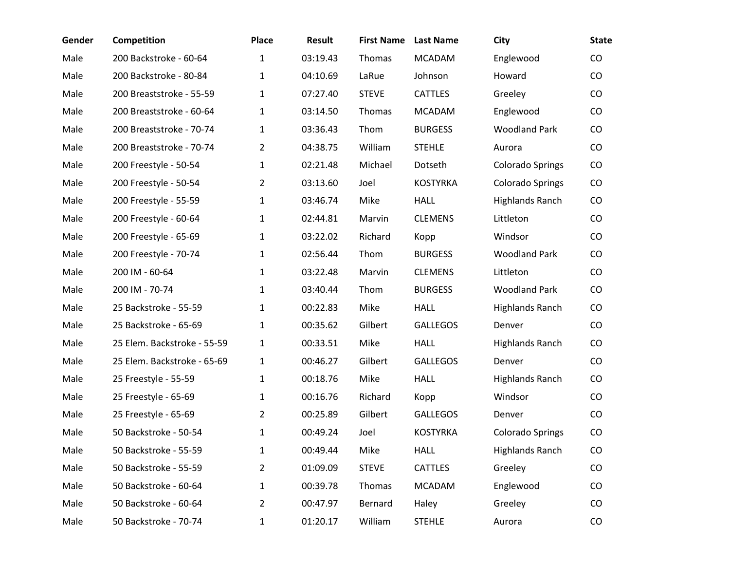| Gender | <b>Competition</b>          | <b>Place</b>   | Result   | <b>First Name</b> | <b>Last Name</b> | City                    | <b>State</b> |
|--------|-----------------------------|----------------|----------|-------------------|------------------|-------------------------|--------------|
| Male   | 200 Backstroke - 60-64      | $\mathbf{1}$   | 03:19.43 | Thomas            | <b>MCADAM</b>    | Englewood               | CO           |
| Male   | 200 Backstroke - 80-84      | 1              | 04:10.69 | LaRue             | Johnson          | Howard                  | CO           |
| Male   | 200 Breaststroke - 55-59    | 1              | 07:27.40 | <b>STEVE</b>      | <b>CATTLES</b>   | Greeley                 | CO           |
| Male   | 200 Breaststroke - 60-64    | 1              | 03:14.50 | Thomas            | <b>MCADAM</b>    | Englewood               | CO           |
| Male   | 200 Breaststroke - 70-74    | 1              | 03:36.43 | Thom              | <b>BURGESS</b>   | <b>Woodland Park</b>    | CO           |
| Male   | 200 Breaststroke - 70-74    | $\overline{2}$ | 04:38.75 | William           | <b>STEHLE</b>    | Aurora                  | CO           |
| Male   | 200 Freestyle - 50-54       | 1              | 02:21.48 | Michael           | Dotseth          | <b>Colorado Springs</b> | CO           |
| Male   | 200 Freestyle - 50-54       | $\mathbf{2}$   | 03:13.60 | Joel              | <b>KOSTYRKA</b>  | Colorado Springs        | CO           |
| Male   | 200 Freestyle - 55-59       | 1              | 03:46.74 | Mike              | <b>HALL</b>      | <b>Highlands Ranch</b>  | CO           |
| Male   | 200 Freestyle - 60-64       | 1              | 02:44.81 | Marvin            | <b>CLEMENS</b>   | Littleton               | CO           |
| Male   | 200 Freestyle - 65-69       | 1              | 03:22.02 | Richard           | Kopp             | Windsor                 | CO           |
| Male   | 200 Freestyle - 70-74       | 1              | 02:56.44 | Thom              | <b>BURGESS</b>   | <b>Woodland Park</b>    | CO           |
| Male   | 200 IM - 60-64              | 1              | 03:22.48 | Marvin            | <b>CLEMENS</b>   | Littleton               | CO           |
| Male   | 200 IM - 70-74              | 1              | 03:40.44 | Thom              | <b>BURGESS</b>   | <b>Woodland Park</b>    | CO           |
| Male   | 25 Backstroke - 55-59       | 1              | 00:22.83 | Mike              | <b>HALL</b>      | <b>Highlands Ranch</b>  | CO           |
| Male   | 25 Backstroke - 65-69       | 1              | 00:35.62 | Gilbert           | <b>GALLEGOS</b>  | Denver                  | CO           |
| Male   | 25 Elem. Backstroke - 55-59 | 1              | 00:33.51 | Mike              | <b>HALL</b>      | <b>Highlands Ranch</b>  | CO           |
| Male   | 25 Elem. Backstroke - 65-69 | 1              | 00:46.27 | Gilbert           | <b>GALLEGOS</b>  | Denver                  | $\rm CO$     |
| Male   | 25 Freestyle - 55-59        | $\mathbf{1}$   | 00:18.76 | Mike              | <b>HALL</b>      | <b>Highlands Ranch</b>  | CO           |
| Male   | 25 Freestyle - 65-69        | 1              | 00:16.76 | Richard           | Kopp             | Windsor                 | CO           |
| Male   | 25 Freestyle - 65-69        | $\overline{2}$ | 00:25.89 | Gilbert           | <b>GALLEGOS</b>  | Denver                  | CO           |
| Male   | 50 Backstroke - 50-54       | 1              | 00:49.24 | Joel              | <b>KOSTYRKA</b>  | Colorado Springs        | CO           |
| Male   | 50 Backstroke - 55-59       | 1              | 00:49.44 | Mike              | HALL             | Highlands Ranch         | CO           |
| Male   | 50 Backstroke - 55-59       | $\overline{2}$ | 01:09.09 | <b>STEVE</b>      | CATTLES          | Greeley                 | CO           |
| Male   | 50 Backstroke - 60-64       | $\mathbf{1}$   | 00:39.78 | Thomas            | <b>MCADAM</b>    | Englewood               | CO           |
| Male   | 50 Backstroke - 60-64       | $\overline{2}$ | 00:47.97 | Bernard           | Haley            | Greeley                 | CO           |
| Male   | 50 Backstroke - 70-74       | 1              | 01:20.17 | William           | <b>STEHLE</b>    | Aurora                  | CO           |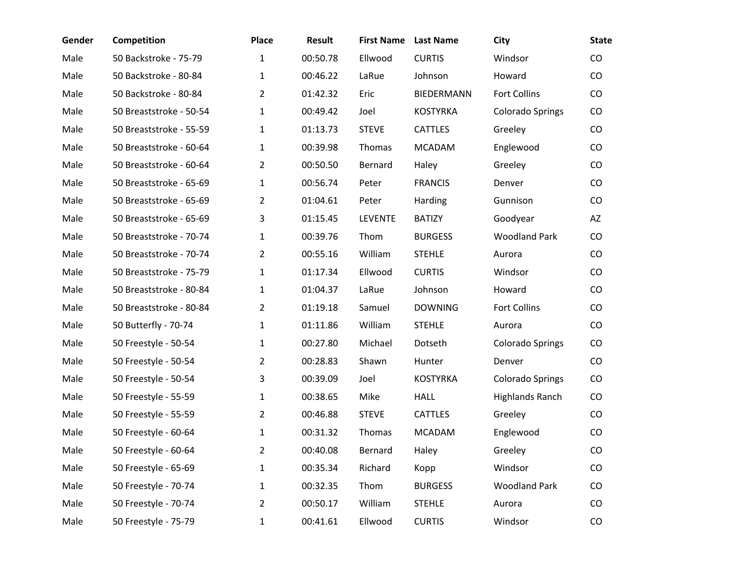| Gender | Competition             | <b>Place</b>   | Result   | <b>First Name</b> | <b>Last Name</b>  | City                    | <b>State</b> |
|--------|-------------------------|----------------|----------|-------------------|-------------------|-------------------------|--------------|
| Male   | 50 Backstroke - 75-79   | 1              | 00:50.78 | Ellwood           | <b>CURTIS</b>     | Windsor                 | CO           |
| Male   | 50 Backstroke - 80-84   | 1              | 00:46.22 | LaRue             | Johnson           | Howard                  | CO           |
| Male   | 50 Backstroke - 80-84   | $\overline{2}$ | 01:42.32 | Eric              | <b>BIEDERMANN</b> | Fort Collins            | CO           |
| Male   | 50 Breaststroke - 50-54 | 1              | 00:49.42 | Joel              | <b>KOSTYRKA</b>   | <b>Colorado Springs</b> | CO           |
| Male   | 50 Breaststroke - 55-59 | 1              | 01:13.73 | <b>STEVE</b>      | <b>CATTLES</b>    | Greeley                 | CO           |
| Male   | 50 Breaststroke - 60-64 | 1              | 00:39.98 | Thomas            | <b>MCADAM</b>     | Englewood               | CO           |
| Male   | 50 Breaststroke - 60-64 | $\overline{2}$ | 00:50.50 | Bernard           | Haley             | Greeley                 | CO           |
| Male   | 50 Breaststroke - 65-69 | 1              | 00:56.74 | Peter             | <b>FRANCIS</b>    | Denver                  | CO           |
| Male   | 50 Breaststroke - 65-69 | 2              | 01:04.61 | Peter             | Harding           | Gunnison                | CO           |
| Male   | 50 Breaststroke - 65-69 | 3              | 01:15.45 | <b>LEVENTE</b>    | <b>BATIZY</b>     | Goodyear                | AZ           |
| Male   | 50 Breaststroke - 70-74 | $\mathbf{1}$   | 00:39.76 | Thom              | <b>BURGESS</b>    | <b>Woodland Park</b>    | CO           |
| Male   | 50 Breaststroke - 70-74 | $\overline{2}$ | 00:55.16 | William           | <b>STEHLE</b>     | Aurora                  | CO           |
| Male   | 50 Breaststroke - 75-79 | 1              | 01:17.34 | Ellwood           | <b>CURTIS</b>     | Windsor                 | CO           |
| Male   | 50 Breaststroke - 80-84 | 1              | 01:04.37 | LaRue             | Johnson           | Howard                  | CO           |
| Male   | 50 Breaststroke - 80-84 | $\overline{2}$ | 01:19.18 | Samuel            | <b>DOWNING</b>    | <b>Fort Collins</b>     | CO           |
| Male   | 50 Butterfly - 70-74    | 1              | 01:11.86 | William           | <b>STEHLE</b>     | Aurora                  | CO           |
| Male   | 50 Freestyle - 50-54    | 1              | 00:27.80 | Michael           | Dotseth           | <b>Colorado Springs</b> | CO           |
| Male   | 50 Freestyle - 50-54    | 2              | 00:28.83 | Shawn             | Hunter            | Denver                  | CO           |
| Male   | 50 Freestyle - 50-54    | 3              | 00:39.09 | Joel              | <b>KOSTYRKA</b>   | Colorado Springs        | CO           |
| Male   | 50 Freestyle - 55-59    | 1              | 00:38.65 | Mike              | <b>HALL</b>       | <b>Highlands Ranch</b>  | CO           |
| Male   | 50 Freestyle - 55-59    | $\overline{2}$ | 00:46.88 | <b>STEVE</b>      | <b>CATTLES</b>    | Greeley                 | CO           |
| Male   | 50 Freestyle - 60-64    | 1              | 00:31.32 | Thomas            | <b>MCADAM</b>     | Englewood               | CO           |
| Male   | 50 Freestyle - 60-64    | 2              | 00:40.08 | Bernard           | Haley             | Greeley                 | CO           |
| Male   | 50 Freestyle - 65-69    | $\mathbf{1}$   | 00:35.34 | Richard           | Kopp              | Windsor                 | CO           |
| Male   | 50 Freestyle - 70-74    | 1              | 00:32.35 | Thom              | <b>BURGESS</b>    | <b>Woodland Park</b>    | CO           |
| Male   | 50 Freestyle - 70-74    | 2              | 00:50.17 | William           | <b>STEHLE</b>     | Aurora                  | CO           |
| Male   | 50 Freestyle - 75-79    | 1              | 00:41.61 | Ellwood           | <b>CURTIS</b>     | Windsor                 | CO           |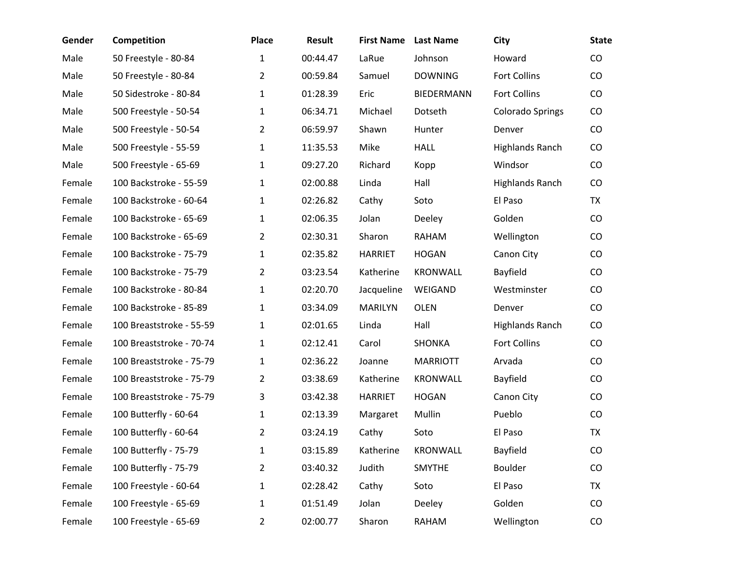| Gender | <b>Competition</b>       | <b>Place</b>   | Result   | <b>First Name</b> | <b>Last Name</b>  | <b>City</b>             | <b>State</b> |
|--------|--------------------------|----------------|----------|-------------------|-------------------|-------------------------|--------------|
| Male   | 50 Freestyle - 80-84     | $\mathbf{1}$   | 00:44.47 | LaRue             | Johnson           | Howard                  | CO           |
| Male   | 50 Freestyle - 80-84     | $\overline{2}$ | 00:59.84 | Samuel            | <b>DOWNING</b>    | <b>Fort Collins</b>     | CO           |
| Male   | 50 Sidestroke - 80-84    | $\mathbf{1}$   | 01:28.39 | Eric              | <b>BIEDERMANN</b> | <b>Fort Collins</b>     | CO           |
| Male   | 500 Freestyle - 50-54    | $\mathbf{1}$   | 06:34.71 | Michael           | Dotseth           | <b>Colorado Springs</b> | CO           |
| Male   | 500 Freestyle - 50-54    | $\overline{2}$ | 06:59.97 | Shawn             | Hunter            | Denver                  | CO           |
| Male   | 500 Freestyle - 55-59    | $\mathbf{1}$   | 11:35.53 | Mike              | <b>HALL</b>       | <b>Highlands Ranch</b>  | CO           |
| Male   | 500 Freestyle - 65-69    | $\mathbf{1}$   | 09:27.20 | Richard           | Kopp              | Windsor                 | CO           |
| Female | 100 Backstroke - 55-59   | $\mathbf{1}$   | 02:00.88 | Linda             | Hall              | <b>Highlands Ranch</b>  | CO           |
| Female | 100 Backstroke - 60-64   | $\mathbf{1}$   | 02:26.82 | Cathy             | Soto              | El Paso                 | <b>TX</b>    |
| Female | 100 Backstroke - 65-69   | $\mathbf{1}$   | 02:06.35 | Jolan             | Deeley            | Golden                  | CO           |
| Female | 100 Backstroke - 65-69   | $\overline{2}$ | 02:30.31 | Sharon            | RAHAM             | Wellington              | CO           |
| Female | 100 Backstroke - 75-79   | $\mathbf{1}$   | 02:35.82 | <b>HARRIET</b>    | <b>HOGAN</b>      | Canon City              | CO           |
| Female | 100 Backstroke - 75-79   | $\overline{2}$ | 03:23.54 | Katherine         | <b>KRONWALL</b>   | Bayfield                | CO           |
| Female | 100 Backstroke - 80-84   | $\mathbf{1}$   | 02:20.70 | Jacqueline        | WEIGAND           | Westminster             | CO           |
| Female | 100 Backstroke - 85-89   | $\mathbf{1}$   | 03:34.09 | <b>MARILYN</b>    | <b>OLEN</b>       | Denver                  | CO           |
| Female | 100 Breaststroke - 55-59 | $\mathbf{1}$   | 02:01.65 | Linda             | Hall              | <b>Highlands Ranch</b>  | CO           |
| Female | 100 Breaststroke - 70-74 | $\mathbf{1}$   | 02:12.41 | Carol             | <b>SHONKA</b>     | Fort Collins            | CO           |
| Female | 100 Breaststroke - 75-79 | $\mathbf{1}$   | 02:36.22 | Joanne            | <b>MARRIOTT</b>   | Arvada                  | CO           |
| Female | 100 Breaststroke - 75-79 | 2              | 03:38.69 | Katherine         | <b>KRONWALL</b>   | Bayfield                | CO           |
| Female | 100 Breaststroke - 75-79 | 3              | 03:42.38 | <b>HARRIET</b>    | <b>HOGAN</b>      | Canon City              | CO           |
| Female | 100 Butterfly - 60-64    | $\mathbf{1}$   | 02:13.39 | Margaret          | Mullin            | Pueblo                  | CO           |
| Female | 100 Butterfly - 60-64    | 2              | 03:24.19 | Cathy             | Soto              | El Paso                 | <b>TX</b>    |
| Female | 100 Butterfly - 75-79    | 1              | 03:15.89 | Katherine         | KRONWALL          | Bayfield                | CO           |
| Female | 100 Butterfly - 75-79    | $\overline{2}$ | 03:40.32 | Judith            | <b>SMYTHE</b>     | Boulder                 | CO           |
| Female | 100 Freestyle - 60-64    | $\mathbf{1}$   | 02:28.42 | Cathy             | Soto              | El Paso                 | TX           |
| Female | 100 Freestyle - 65-69    | $\mathbf{1}$   | 01:51.49 | Jolan             | Deeley            | Golden                  | CO           |
| Female | 100 Freestyle - 65-69    | 2              | 02:00.77 | Sharon            | RAHAM             | Wellington              | CO           |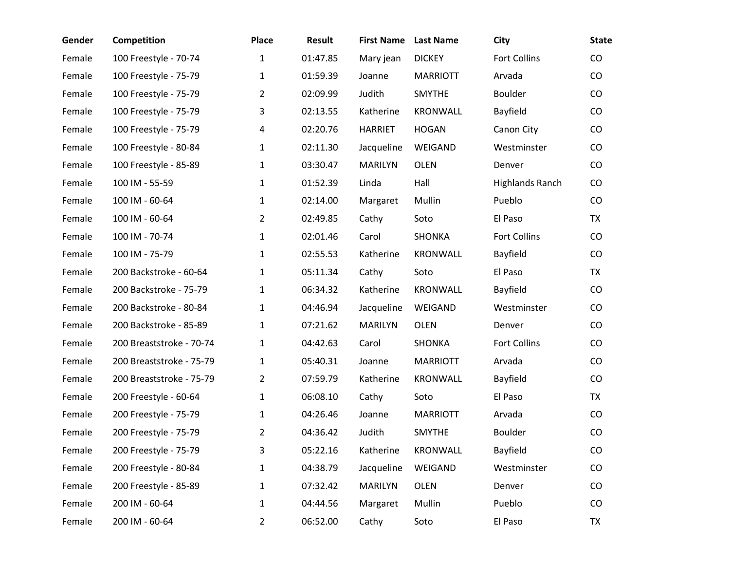| Gender | <b>Competition</b>       | <b>Place</b>   | Result   | <b>First Name</b> | <b>Last Name</b> | City                   | <b>State</b> |
|--------|--------------------------|----------------|----------|-------------------|------------------|------------------------|--------------|
| Female | 100 Freestyle - 70-74    | $\mathbf{1}$   | 01:47.85 | Mary jean         | <b>DICKEY</b>    | <b>Fort Collins</b>    | $\rm CO$     |
| Female | 100 Freestyle - 75-79    | $\mathbf{1}$   | 01:59.39 | Joanne            | <b>MARRIOTT</b>  | Arvada                 | CO           |
| Female | 100 Freestyle - 75-79    | $\overline{2}$ | 02:09.99 | Judith            | <b>SMYTHE</b>    | Boulder                | $\rm CO$     |
| Female | 100 Freestyle - 75-79    | 3              | 02:13.55 | Katherine         | <b>KRONWALL</b>  | Bayfield               | $\rm CO$     |
| Female | 100 Freestyle - 75-79    | 4              | 02:20.76 | <b>HARRIET</b>    | <b>HOGAN</b>     | Canon City             | $\rm CO$     |
| Female | 100 Freestyle - 80-84    | $\mathbf{1}$   | 02:11.30 | Jacqueline        | WEIGAND          | Westminster            | $\rm CO$     |
| Female | 100 Freestyle - 85-89    | $\mathbf{1}$   | 03:30.47 | <b>MARILYN</b>    | <b>OLEN</b>      | Denver                 | $\rm CO$     |
| Female | 100 IM - 55-59           | $\mathbf{1}$   | 01:52.39 | Linda             | Hall             | <b>Highlands Ranch</b> | $\rm CO$     |
| Female | 100 IM - 60-64           | $\mathbf{1}$   | 02:14.00 | Margaret          | Mullin           | Pueblo                 | CO           |
| Female | 100 IM - 60-64           | $\overline{2}$ | 02:49.85 | Cathy             | Soto             | El Paso                | <b>TX</b>    |
| Female | 100 IM - 70-74           | $\mathbf{1}$   | 02:01.46 | Carol             | <b>SHONKA</b>    | <b>Fort Collins</b>    | CO           |
| Female | 100 IM - 75-79           | $\mathbf{1}$   | 02:55.53 | Katherine         | <b>KRONWALL</b>  | Bayfield               | $\rm CO$     |
| Female | 200 Backstroke - 60-64   | $\mathbf{1}$   | 05:11.34 | Cathy             | Soto             | El Paso                | <b>TX</b>    |
| Female | 200 Backstroke - 75-79   | $\mathbf{1}$   | 06:34.32 | Katherine         | <b>KRONWALL</b>  | Bayfield               | $\rm CO$     |
| Female | 200 Backstroke - 80-84   | $\mathbf{1}$   | 04:46.94 | Jacqueline        | WEIGAND          | Westminster            | $\rm CO$     |
| Female | 200 Backstroke - 85-89   | $\mathbf{1}$   | 07:21.62 | <b>MARILYN</b>    | <b>OLEN</b>      | Denver                 | CO           |
| Female | 200 Breaststroke - 70-74 | $\mathbf{1}$   | 04:42.63 | Carol             | SHONKA           | <b>Fort Collins</b>    | $\rm CO$     |
| Female | 200 Breaststroke - 75-79 | $\mathbf{1}$   | 05:40.31 | Joanne            | <b>MARRIOTT</b>  | Arvada                 | $\rm CO$     |
| Female | 200 Breaststroke - 75-79 | 2              | 07:59.79 | Katherine         | <b>KRONWALL</b>  | Bayfield               | CO           |
| Female | 200 Freestyle - 60-64    | $\mathbf{1}$   | 06:08.10 | Cathy             | Soto             | El Paso                | TX           |
| Female | 200 Freestyle - 75-79    | $\mathbf{1}$   | 04:26.46 | Joanne            | <b>MARRIOTT</b>  | Arvada                 | $\rm CO$     |
| Female | 200 Freestyle - 75-79    | 2              | 04:36.42 | Judith            | SMYTHE           | Boulder                | CO           |
| Female | 200 Freestyle - 75-79    | 3              | 05:22.16 | Katherine         | KRONWALL         | Bayfield               | CO           |
| Female | 200 Freestyle - 80-84    | $\mathbf{1}$   | 04:38.79 | Jacqueline        | WEIGAND          | Westminster            | CO           |
| Female | 200 Freestyle - 85-89    | $\mathbf{1}$   | 07:32.42 | MARILYN           | <b>OLEN</b>      | Denver                 | CO           |
| Female | 200 IM - 60-64           | $\mathbf{1}$   | 04:44.56 | Margaret          | Mullin           | Pueblo                 | $\rm CO$     |
| Female | 200 IM - 60-64           | 2              | 06:52.00 | Cathy             | Soto             | El Paso                | TX           |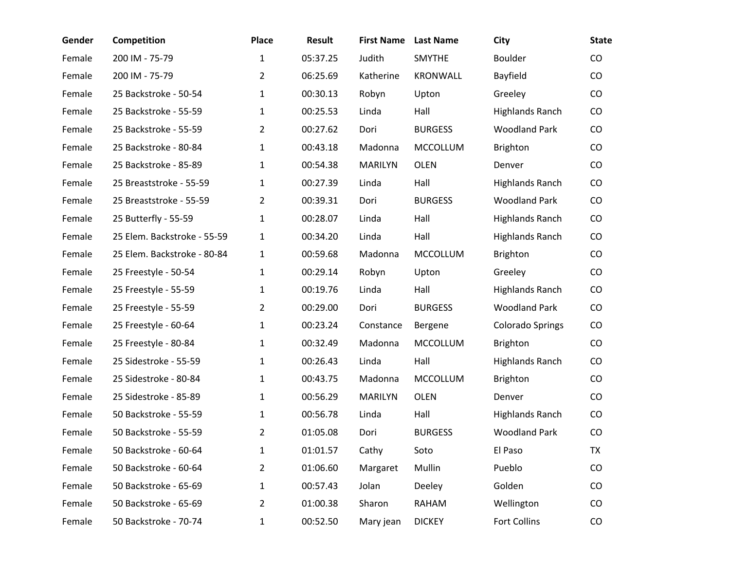| Gender | Competition                 | <b>Place</b>   | <b>Result</b> | <b>First Name</b> | <b>Last Name</b> | City                   | <b>State</b> |
|--------|-----------------------------|----------------|---------------|-------------------|------------------|------------------------|--------------|
| Female | 200 IM - 75-79              | $\mathbf{1}$   | 05:37.25      | Judith            | <b>SMYTHE</b>    | <b>Boulder</b>         | CO           |
| Female | 200 IM - 75-79              | $\overline{2}$ | 06:25.69      | Katherine         | KRONWALL         | Bayfield               | CO           |
| Female | 25 Backstroke - 50-54       | $\mathbf{1}$   | 00:30.13      | Robyn             | Upton            | Greeley                | CO           |
| Female | 25 Backstroke - 55-59       | $\mathbf{1}$   | 00:25.53      | Linda             | Hall             | <b>Highlands Ranch</b> | CO           |
| Female | 25 Backstroke - 55-59       | $\overline{2}$ | 00:27.62      | Dori              | <b>BURGESS</b>   | <b>Woodland Park</b>   | CO           |
| Female | 25 Backstroke - 80-84       | $\mathbf{1}$   | 00:43.18      | Madonna           | <b>MCCOLLUM</b>  | <b>Brighton</b>        | CO           |
| Female | 25 Backstroke - 85-89       | $\mathbf{1}$   | 00:54.38      | <b>MARILYN</b>    | OLEN             | Denver                 | CO           |
| Female | 25 Breaststroke - 55-59     | $\mathbf{1}$   | 00:27.39      | Linda             | Hall             | <b>Highlands Ranch</b> | CO           |
| Female | 25 Breaststroke - 55-59     | $\overline{2}$ | 00:39.31      | Dori              | <b>BURGESS</b>   | <b>Woodland Park</b>   | CO           |
| Female | 25 Butterfly - 55-59        | $\mathbf{1}$   | 00:28.07      | Linda             | Hall             | <b>Highlands Ranch</b> | CO           |
| Female | 25 Elem. Backstroke - 55-59 | 1              | 00:34.20      | Linda             | Hall             | <b>Highlands Ranch</b> | CO           |
| Female | 25 Elem. Backstroke - 80-84 | $\mathbf{1}$   | 00:59.68      | Madonna           | MCCOLLUM         | <b>Brighton</b>        | CO           |
| Female | 25 Freestyle - 50-54        | $\mathbf{1}$   | 00:29.14      | Robyn             | Upton            | Greeley                | $\rm CO$     |
| Female | 25 Freestyle - 55-59        | 1              | 00:19.76      | Linda             | Hall             | <b>Highlands Ranch</b> | CO           |
| Female | 25 Freestyle - 55-59        | $\overline{2}$ | 00:29.00      | Dori              | <b>BURGESS</b>   | <b>Woodland Park</b>   | CO           |
| Female | 25 Freestyle - 60-64        | $\mathbf{1}$   | 00:23.24      | Constance         | Bergene          | Colorado Springs       | CO           |
| Female | 25 Freestyle - 80-84        | $\mathbf{1}$   | 00:32.49      | Madonna           | <b>MCCOLLUM</b>  | <b>Brighton</b>        | CO           |
| Female | 25 Sidestroke - 55-59       | $\mathbf{1}$   | 00:26.43      | Linda             | Hall             | <b>Highlands Ranch</b> | CO           |
| Female | 25 Sidestroke - 80-84       | $\mathbf{1}$   | 00:43.75      | Madonna           | <b>MCCOLLUM</b>  | <b>Brighton</b>        | CO           |
| Female | 25 Sidestroke - 85-89       | $\mathbf{1}$   | 00:56.29      | <b>MARILYN</b>    | <b>OLEN</b>      | Denver                 | CO           |
| Female | 50 Backstroke - 55-59       | $\mathbf{1}$   | 00:56.78      | Linda             | Hall             | <b>Highlands Ranch</b> | CO           |
| Female | 50 Backstroke - 55-59       | $\overline{2}$ | 01:05.08      | Dori              | <b>BURGESS</b>   | <b>Woodland Park</b>   | $\rm CO$     |
| Female | 50 Backstroke - 60-64       | $\mathbf{1}$   | 01:01.57      | Cathy             | Soto             | El Paso                | <b>TX</b>    |
| Female | 50 Backstroke - 60-64       | $\overline{2}$ | 01:06.60      | Margaret          | Mullin           | Pueblo                 | CO           |
| Female | 50 Backstroke - 65-69       | $\mathbf{1}$   | 00:57.43      | Jolan             | Deeley           | Golden                 | CO           |
| Female | 50 Backstroke - 65-69       | 2              | 01:00.38      | Sharon            | RAHAM            | Wellington             | CO           |
| Female | 50 Backstroke - 70-74       | 1              | 00:52.50      | Mary jean         | <b>DICKEY</b>    | <b>Fort Collins</b>    | CO           |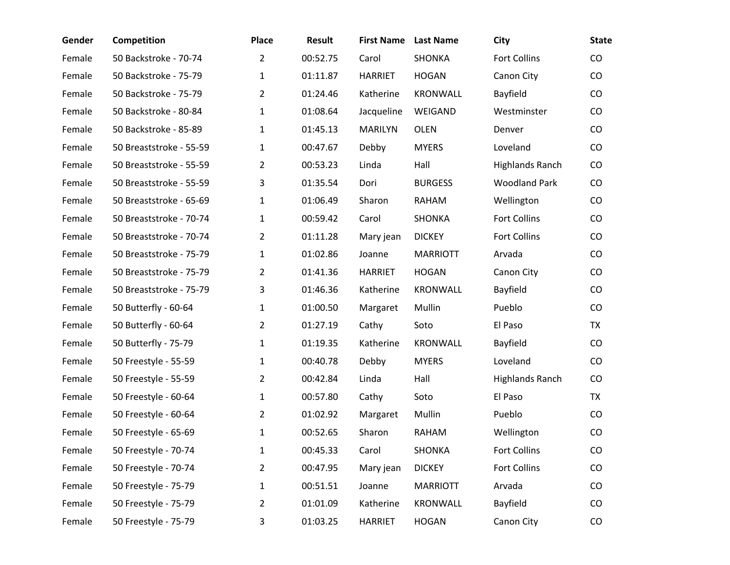| Gender | <b>Competition</b>      | <b>Place</b>   | <b>Result</b> | <b>First Name</b> | <b>Last Name</b> | City                   | <b>State</b> |
|--------|-------------------------|----------------|---------------|-------------------|------------------|------------------------|--------------|
| Female | 50 Backstroke - 70-74   | $\overline{2}$ | 00:52.75      | Carol             | <b>SHONKA</b>    | Fort Collins           | CO           |
| Female | 50 Backstroke - 75-79   | $\mathbf{1}$   | 01:11.87      | <b>HARRIET</b>    | <b>HOGAN</b>     | Canon City             | CO           |
| Female | 50 Backstroke - 75-79   | $2^{\circ}$    | 01:24.46      | Katherine         | <b>KRONWALL</b>  | Bayfield               | $\rm CO$     |
| Female | 50 Backstroke - 80-84   | $\mathbf{1}$   | 01:08.64      | Jacqueline        | WEIGAND          | Westminster            | CO           |
| Female | 50 Backstroke - 85-89   | $\mathbf{1}$   | 01:45.13      | <b>MARILYN</b>    | <b>OLEN</b>      | Denver                 | CO           |
| Female | 50 Breaststroke - 55-59 | $\mathbf{1}$   | 00:47.67      | Debby             | <b>MYERS</b>     | Loveland               | CO           |
| Female | 50 Breaststroke - 55-59 | $\overline{2}$ | 00:53.23      | Linda             | Hall             | <b>Highlands Ranch</b> | CO           |
| Female | 50 Breaststroke - 55-59 | 3              | 01:35.54      | Dori              | <b>BURGESS</b>   | <b>Woodland Park</b>   | CO           |
| Female | 50 Breaststroke - 65-69 | $\mathbf{1}$   | 01:06.49      | Sharon            | RAHAM            | Wellington             | CO           |
| Female | 50 Breaststroke - 70-74 | $\mathbf{1}$   | 00:59.42      | Carol             | <b>SHONKA</b>    | Fort Collins           | CO           |
| Female | 50 Breaststroke - 70-74 | $\overline{2}$ | 01:11.28      | Mary jean         | <b>DICKEY</b>    | Fort Collins           | CO           |
| Female | 50 Breaststroke - 75-79 | $\mathbf{1}$   | 01:02.86      | Joanne            | <b>MARRIOTT</b>  | Arvada                 | CO           |
| Female | 50 Breaststroke - 75-79 | $\overline{2}$ | 01:41.36      | <b>HARRIET</b>    | <b>HOGAN</b>     | Canon City             | CO           |
| Female | 50 Breaststroke - 75-79 | 3              | 01:46.36      | Katherine         | <b>KRONWALL</b>  | Bayfield               | CO           |
| Female | 50 Butterfly - 60-64    | $\mathbf{1}$   | 01:00.50      | Margaret          | Mullin           | Pueblo                 | CO           |
| Female | 50 Butterfly - 60-64    | $\overline{2}$ | 01:27.19      | Cathy             | Soto             | El Paso                | <b>TX</b>    |
| Female | 50 Butterfly - 75-79    | $\mathbf{1}$   | 01:19.35      | Katherine         | <b>KRONWALL</b>  | Bayfield               | CO           |
| Female | 50 Freestyle - 55-59    | $\mathbf{1}$   | 00:40.78      | Debby             | <b>MYERS</b>     | Loveland               | CO           |
| Female | 50 Freestyle - 55-59    | $\overline{2}$ | 00:42.84      | Linda             | Hall             | <b>Highlands Ranch</b> | CO           |
| Female | 50 Freestyle - 60-64    | $\mathbf{1}$   | 00:57.80      | Cathy             | Soto             | El Paso                | <b>TX</b>    |
| Female | 50 Freestyle - 60-64    | $2^{\circ}$    | 01:02.92      | Margaret          | Mullin           | Pueblo                 | CO           |
| Female | 50 Freestyle - 65-69    | 1              | 00:52.65      | Sharon            | RAHAM            | Wellington             | CO           |
| Female | 50 Freestyle - 70-74    | 1              | 00:45.33      | Carol             | SHONKA           | Fort Collins           | CO           |
| Female | 50 Freestyle - 70-74    | $\overline{2}$ | 00:47.95      | Mary jean         | <b>DICKEY</b>    | Fort Collins           | CO           |
| Female | 50 Freestyle - 75-79    | 1              | 00:51.51      | Joanne            | <b>MARRIOTT</b>  | Arvada                 | CO           |
| Female | 50 Freestyle - 75-79    | $\overline{2}$ | 01:01.09      | Katherine         | <b>KRONWALL</b>  | Bayfield               | CO           |
| Female | 50 Freestyle - 75-79    | 3              | 01:03.25      | <b>HARRIET</b>    | <b>HOGAN</b>     | Canon City             | CO           |